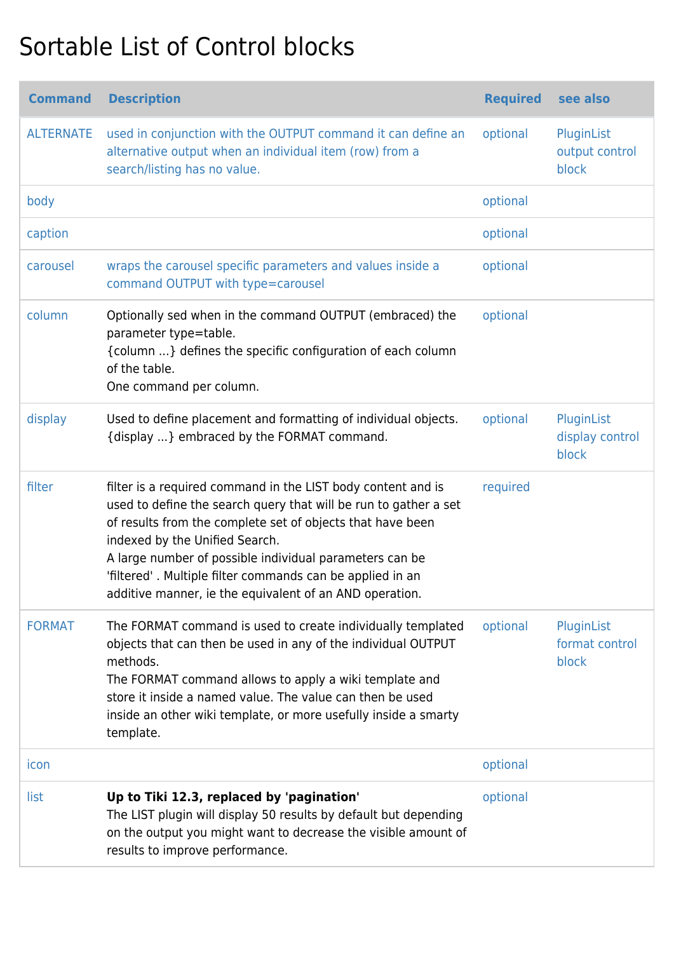## Sortable List of Control blocks

| <b>Command</b>   | <b>Description</b>                                                                                                                                                                                                                                                                                                                                                                                                  | <b>Required</b> | see also                               |
|------------------|---------------------------------------------------------------------------------------------------------------------------------------------------------------------------------------------------------------------------------------------------------------------------------------------------------------------------------------------------------------------------------------------------------------------|-----------------|----------------------------------------|
| <b>ALTERNATE</b> | used in conjunction with the OUTPUT command it can define an<br>alternative output when an individual item (row) from a<br>search/listing has no value.                                                                                                                                                                                                                                                             | optional        | PluginList<br>output control<br>block  |
| body             |                                                                                                                                                                                                                                                                                                                                                                                                                     | optional        |                                        |
| caption          |                                                                                                                                                                                                                                                                                                                                                                                                                     | optional        |                                        |
| carousel         | wraps the carousel specific parameters and values inside a<br>command OUTPUT with type=carousel                                                                                                                                                                                                                                                                                                                     | optional        |                                        |
| column           | Optionally sed when in the command OUTPUT (embraced) the<br>parameter type=table.<br>{column } defines the specific configuration of each column<br>of the table.<br>One command per column.                                                                                                                                                                                                                        | optional        |                                        |
| display          | Used to define placement and formatting of individual objects.<br>{display } embraced by the FORMAT command.                                                                                                                                                                                                                                                                                                        | optional        | PluginList<br>display control<br>block |
| filter           | filter is a required command in the LIST body content and is<br>used to define the search query that will be run to gather a set<br>of results from the complete set of objects that have been<br>indexed by the Unified Search.<br>A large number of possible individual parameters can be<br>'filtered'. Multiple filter commands can be applied in an<br>additive manner, ie the equivalent of an AND operation. | required        |                                        |
| <b>FORMAT</b>    | The FORMAT command is used to create individually templated<br>objects that can then be used in any of the individual OUTPUT<br>methods.<br>The FORMAT command allows to apply a wiki template and<br>store it inside a named value. The value can then be used<br>inside an other wiki template, or more usefully inside a smarty<br>template.                                                                     | optional        | PluginList<br>format control<br>block  |
| icon             |                                                                                                                                                                                                                                                                                                                                                                                                                     | optional        |                                        |
| list             | Up to Tiki 12.3, replaced by 'pagination'<br>The LIST plugin will display 50 results by default but depending<br>on the output you might want to decrease the visible amount of<br>results to improve performance.                                                                                                                                                                                                  | optional        |                                        |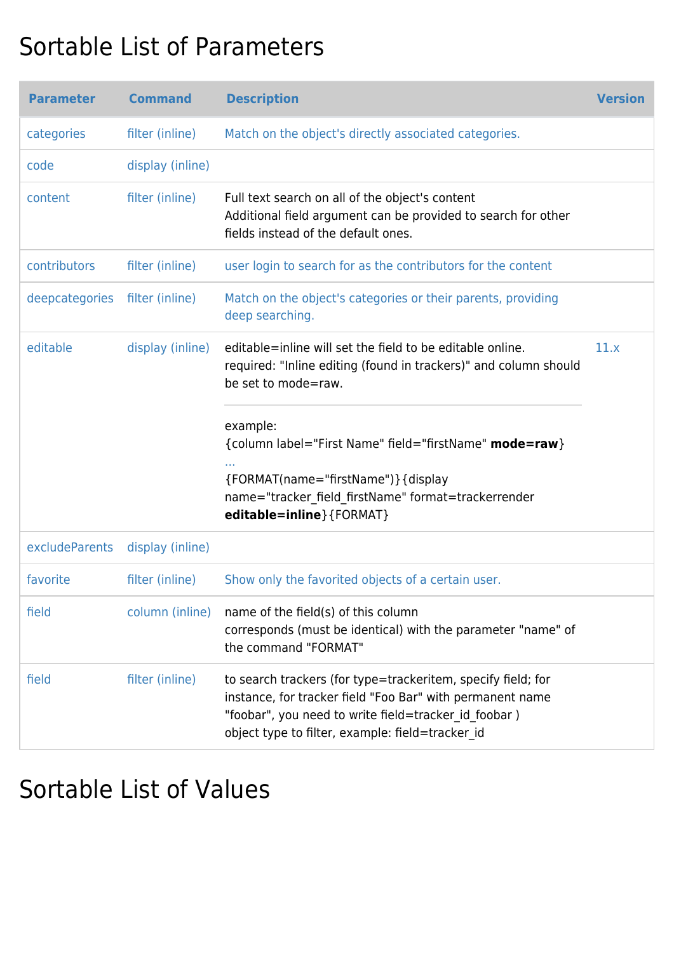## Sortable List of Parameters

| <b>Parameter</b> | <b>Command</b>   | <b>Description</b>                                                                                                                                                                                                                    | <b>Version</b> |
|------------------|------------------|---------------------------------------------------------------------------------------------------------------------------------------------------------------------------------------------------------------------------------------|----------------|
| categories       | filter (inline)  | Match on the object's directly associated categories.                                                                                                                                                                                 |                |
| code             | display (inline) |                                                                                                                                                                                                                                       |                |
| content          | filter (inline)  | Full text search on all of the object's content<br>Additional field argument can be provided to search for other<br>fields instead of the default ones.                                                                               |                |
| contributors     | filter (inline)  | user login to search for as the contributors for the content                                                                                                                                                                          |                |
| deepcategories   | filter (inline)  | Match on the object's categories or their parents, providing<br>deep searching.                                                                                                                                                       |                |
| editable         | display (inline) | editable=inline will set the field to be editable online.<br>required: "Inline editing (found in trackers)" and column should<br>be set to mode=raw.                                                                                  | 11.x           |
|                  |                  | example:<br>{column label="First Name" field="firstName" mode=raw}<br>{FORMAT(name="firstName")} {display<br>name="tracker_field_firstName" format=trackerrender<br>editable=inline}{FORMAT}                                          |                |
| excludeParents   | display (inline) |                                                                                                                                                                                                                                       |                |
| favorite         | filter (inline)  | Show only the favorited objects of a certain user.                                                                                                                                                                                    |                |
| field            | column (inline)  | name of the field(s) of this column<br>corresponds (must be identical) with the parameter "name" of<br>the command "FORMAT"                                                                                                           |                |
| field            | filter (inline)  | to search trackers (for type=trackeritem, specify field; for<br>instance, for tracker field "Foo Bar" with permanent name<br>"foobar", you need to write field=tracker id foobar)<br>object type to filter, example: field=tracker id |                |

## Sortable List of Values